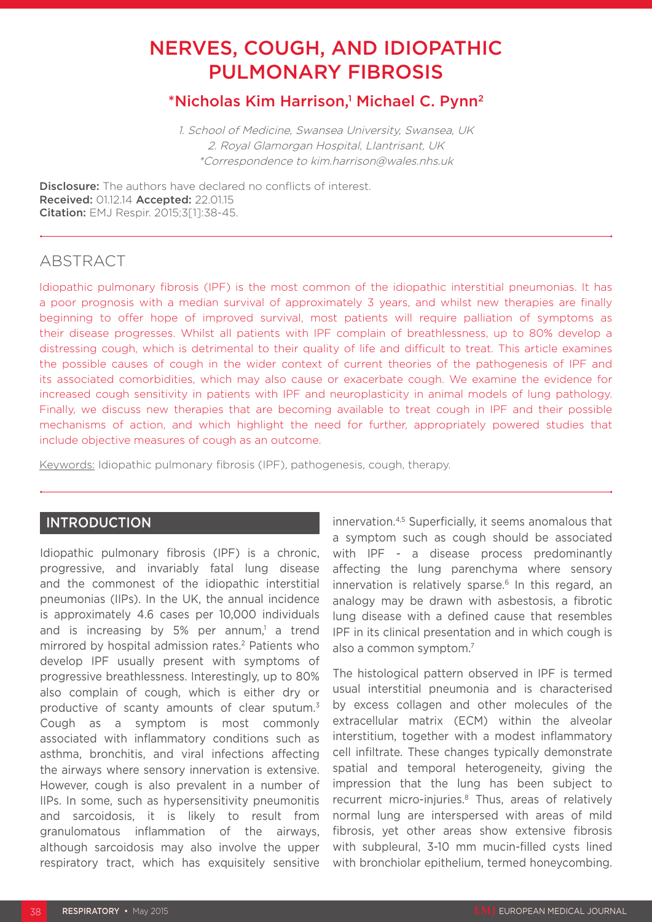# NERVES, COUGH, AND IDIOPATHIC PULMONARY FIBROSIS

# \*Nicholas Kim Harrison,<sup>1</sup> Michael C. Pynn<sup>2</sup>

1. School of Medicine, Swansea University, Swansea, UK 2. Royal Glamorgan Hospital, Llantrisant, UK \*Correspondence to kim.harrison@wales.nhs.uk

**Disclosure:** The authors have declared no conflicts of interest. Received: 01.12.14 Accepted: 22.01.15 Citation: EMJ Respir. 2015;3[1]:38-45.

# **ABSTRACT**

Idiopathic pulmonary fibrosis (IPF) is the most common of the idiopathic interstitial pneumonias. It has a poor prognosis with a median survival of approximately 3 years, and whilst new therapies are finally beginning to offer hope of improved survival, most patients will require palliation of symptoms as their disease progresses. Whilst all patients with IPF complain of breathlessness, up to 80% develop a distressing cough, which is detrimental to their quality of life and difficult to treat. This article examines the possible causes of cough in the wider context of current theories of the pathogenesis of IPF and its associated comorbidities, which may also cause or exacerbate cough. We examine the evidence for increased cough sensitivity in patients with IPF and neuroplasticity in animal models of lung pathology. Finally, we discuss new therapies that are becoming available to treat cough in IPF and their possible mechanisms of action, and which highlight the need for further, appropriately powered studies that include objective measures of cough as an outcome.

Keywords: Idiopathic pulmonary fibrosis (IPF), pathogenesis, cough, therapy.

### INTRODUCTION

Idiopathic pulmonary fibrosis (IPF) is a chronic, progressive, and invariably fatal lung disease and the commonest of the idiopathic interstitial pneumonias (IIPs). In the UK, the annual incidence is approximately 4.6 cases per 10,000 individuals and is increasing by 5% per annum,<sup>1</sup> a trend mirrored by hospital admission rates.<sup>2</sup> Patients who develop IPF usually present with symptoms of progressive breathlessness. Interestingly, up to 80% also complain of cough, which is either dry or productive of scanty amounts of clear sputum.3 Cough as a symptom is most commonly associated with inflammatory conditions such as asthma, bronchitis, and viral infections affecting the airways where sensory innervation is extensive. However, cough is also prevalent in a number of IIPs. In some, such as hypersensitivity pneumonitis and sarcoidosis, it is likely to result from granulomatous inflammation of the airways, although sarcoidosis may also involve the upper respiratory tract, which has exquisitely sensitive

innervation.4,5 Superficially, it seems anomalous that a symptom such as cough should be associated with IPF - a disease process predominantly affecting the lung parenchyma where sensory innervation is relatively sparse. $6$  In this regard, an analogy may be drawn with asbestosis, a fibrotic lung disease with a defined cause that resembles IPF in its clinical presentation and in which cough is also a common symptom.<sup>7</sup>

The histological pattern observed in IPF is termed usual interstitial pneumonia and is characterised by excess collagen and other molecules of the extracellular matrix (ECM) within the alveolar interstitium, together with a modest inflammatory cell infiltrate. These changes typically demonstrate spatial and temporal heterogeneity, giving the impression that the lung has been subject to recurrent micro-injuries.<sup>8</sup> Thus, areas of relatively normal lung are interspersed with areas of mild fibrosis, yet other areas show extensive fibrosis with subpleural, 3-10 mm mucin-filled cysts lined with bronchiolar epithelium, termed honeycombing.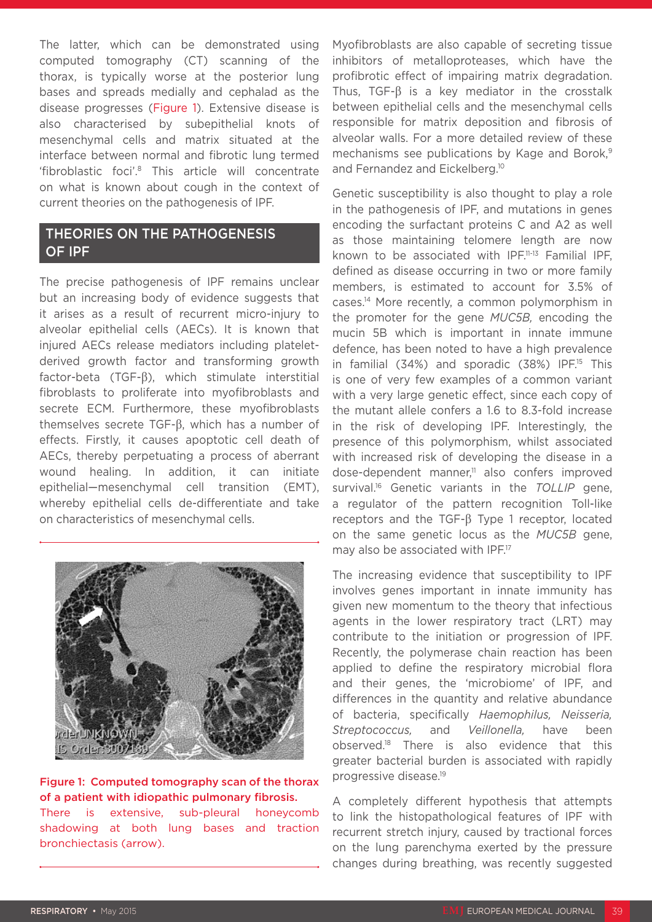The latter, which can be demonstrated using computed tomography (CT) scanning of the thorax, is typically worse at the posterior lung bases and spreads medially and cephalad as the disease progresses (Figure 1). Extensive disease is also characterised by subepithelial knots of mesenchymal cells and matrix situated at the interface between normal and fibrotic lung termed 'fibroblastic foci'.8 This article will concentrate on what is known about cough in the context of current theories on the pathogenesis of IPF.

# THEORIES ON THE PATHOGENESIS OF IPF

The precise pathogenesis of IPF remains unclear but an increasing body of evidence suggests that it arises as a result of recurrent micro-injury to alveolar epithelial cells (AECs). It is known that injured AECs release mediators including plateletderived growth factor and transforming growth factor-beta (TGF-β), which stimulate interstitial fibroblasts to proliferate into myofibroblasts and secrete ECM. Furthermore, these myofibroblasts themselves secrete TGF-β, which has a number of effects. Firstly, it causes apoptotic cell death of AECs, thereby perpetuating a process of aberrant wound healing. In addition, it can initiate epithelial—mesenchymal cell transition (EMT), whereby epithelial cells de-differentiate and take on characteristics of mesenchymal cells.



#### Figure 1: Computed tomography scan of the thorax of a patient with idiopathic pulmonary fibrosis. There is extensive, sub-pleural honeycomb shadowing at both lung bases and traction

Myofibroblasts are also capable of secreting tissue inhibitors of metalloproteases, which have the profibrotic effect of impairing matrix degradation. Thus, TGF-β is a key mediator in the crosstalk between epithelial cells and the mesenchymal cells responsible for matrix deposition and fibrosis of alveolar walls. For a more detailed review of these mechanisms see publications by Kage and Borok,<sup>9</sup> and Fernandez and Eickelberg.<sup>10</sup>

Genetic susceptibility is also thought to play a role in the pathogenesis of IPF, and mutations in genes encoding the surfactant proteins C and A2 as well as those maintaining telomere length are now known to be associated with IPF.<sup>11-13</sup> Familial IPF, defined as disease occurring in two or more family members, is estimated to account for 3.5% of cases.14 More recently, a common polymorphism in the promoter for the gene *MUC5B,* encoding the mucin 5B which is important in innate immune defence, has been noted to have a high prevalence in familial  $(34%)$  and sporadic  $(38%)$  IPF.<sup>15</sup> This is one of very few examples of a common variant with a very large genetic effect, since each copy of the mutant allele confers a 1.6 to 8.3-fold increase in the risk of developing IPF. Interestingly, the presence of this polymorphism, whilst associated with increased risk of developing the disease in a dose-dependent manner,<sup>11</sup> also confers improved survival.<sup>16</sup> Genetic variants in the *TOLLIP* gene, a regulator of the pattern recognition Toll-like receptors and the TGF-β Type 1 receptor, located on the same genetic locus as the *MUC5B* gene, may also be associated with IPF.<sup>17</sup>

The increasing evidence that susceptibility to IPF involves genes important in innate immunity has given new momentum to the theory that infectious agents in the lower respiratory tract (LRT) may contribute to the initiation or progression of IPF. Recently, the polymerase chain reaction has been applied to define the respiratory microbial flora and their genes, the 'microbiome' of IPF, and differences in the quantity and relative abundance of bacteria, specifically *Haemophilus, Neisseria, Streptococcus,* and *Veillonella,* have been observed.18 There is also evidence that this greater bacterial burden is associated with rapidly progressive disease.19

A completely different hypothesis that attempts to link the histopathological features of IPF with recurrent stretch injury, caused by tractional forces on the lung parenchyma exerted by the pressure changes during breathing, was recently suggested

bronchiectasis (arrow).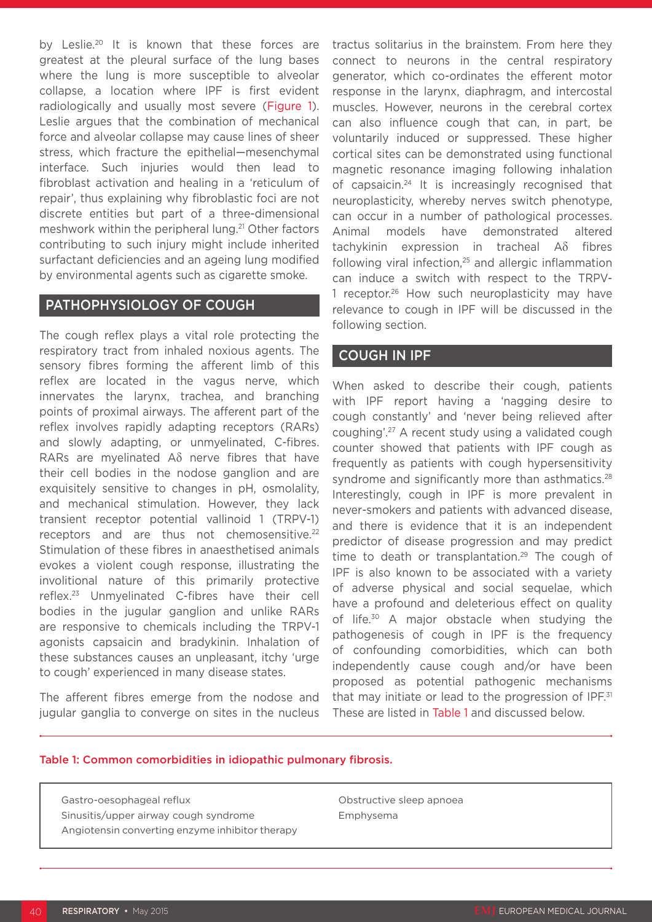by Leslie.<sup>20</sup> It is known that these forces are greatest at the pleural surface of the lung bases where the lung is more susceptible to alveolar collapse, a location where IPF is first evident radiologically and usually most severe (Figure 1). Leslie argues that the combination of mechanical force and alveolar collapse may cause lines of sheer stress, which fracture the epithelial—mesenchymal interface. Such injuries would then lead to fibroblast activation and healing in a 'reticulum of repair', thus explaining why fibroblastic foci are not discrete entities but part of a three-dimensional meshwork within the peripheral lung.<sup>21</sup> Other factors contributing to such injury might include inherited surfactant deficiencies and an ageing lung modified by environmental agents such as cigarette smoke.

## PATHOPHYSIOLOGY OF COUGH

The cough reflex plays a vital role protecting the respiratory tract from inhaled noxious agents. The sensory fibres forming the afferent limb of this reflex are located in the vagus nerve, which innervates the larynx, trachea, and branching points of proximal airways. The afferent part of the reflex involves rapidly adapting receptors (RARs) and slowly adapting, or unmyelinated, C-fibres. RARs are myelinated Aδ nerve fibres that have their cell bodies in the nodose ganglion and are exquisitely sensitive to changes in pH, osmolality, and mechanical stimulation. However, they lack transient receptor potential vallinoid 1 (TRPV-1) receptors and are thus not chemosensitive.<sup>22</sup> Stimulation of these fibres in anaesthetised animals evokes a violent cough response, illustrating the involitional nature of this primarily protective reflex.23 Unmyelinated C-fibres have their cell bodies in the jugular ganglion and unlike RARs are responsive to chemicals including the TRPV-1 agonists capsaicin and bradykinin. Inhalation of these substances causes an unpleasant, itchy 'urge to cough' experienced in many disease states.

The afferent fibres emerge from the nodose and jugular ganglia to converge on sites in the nucleus

tractus solitarius in the brainstem. From here they connect to neurons in the central respiratory generator, which co-ordinates the efferent motor response in the larynx, diaphragm, and intercostal muscles. However, neurons in the cerebral cortex can also influence cough that can, in part, be voluntarily induced or suppressed. These higher cortical sites can be demonstrated using functional magnetic resonance imaging following inhalation of capsaicin.24 It is increasingly recognised that neuroplasticity, whereby nerves switch phenotype, can occur in a number of pathological processes. Animal models have demonstrated altered tachykinin expression in tracheal Aδ fibres following viral infection,<sup>25</sup> and allergic inflammation can induce a switch with respect to the TRPV-1 receptor.<sup>26</sup> How such neuroplasticity may have relevance to cough in IPF will be discussed in the following section.

## COUGH IN IPF

When asked to describe their cough, patients with IPF report having a 'nagging desire to cough constantly' and 'never being relieved after coughing'.27 A recent study using a validated cough counter showed that patients with IPF cough as frequently as patients with cough hypersensitivity syndrome and significantly more than asthmatics.<sup>28</sup> Interestingly, cough in IPF is more prevalent in never-smokers and patients with advanced disease, and there is evidence that it is an independent predictor of disease progression and may predict time to death or transplantation.<sup>29</sup> The cough of IPF is also known to be associated with a variety of adverse physical and social sequelae, which have a profound and deleterious effect on quality of life.<sup>30</sup> A major obstacle when studying the pathogenesis of cough in IPF is the frequency of confounding comorbidities, which can both independently cause cough and/or have been proposed as potential pathogenic mechanisms that may initiate or lead to the progression of IPF. $31$ These are listed in Table 1 and discussed below.

#### Table 1: Common comorbidities in idiopathic pulmonary fibrosis.

Gastro-oesophageal reflux Sinusitis/upper airway cough syndrome

Angiotensin converting enzyme inhibitor therapy

Obstructive sleep apnoea Emphysema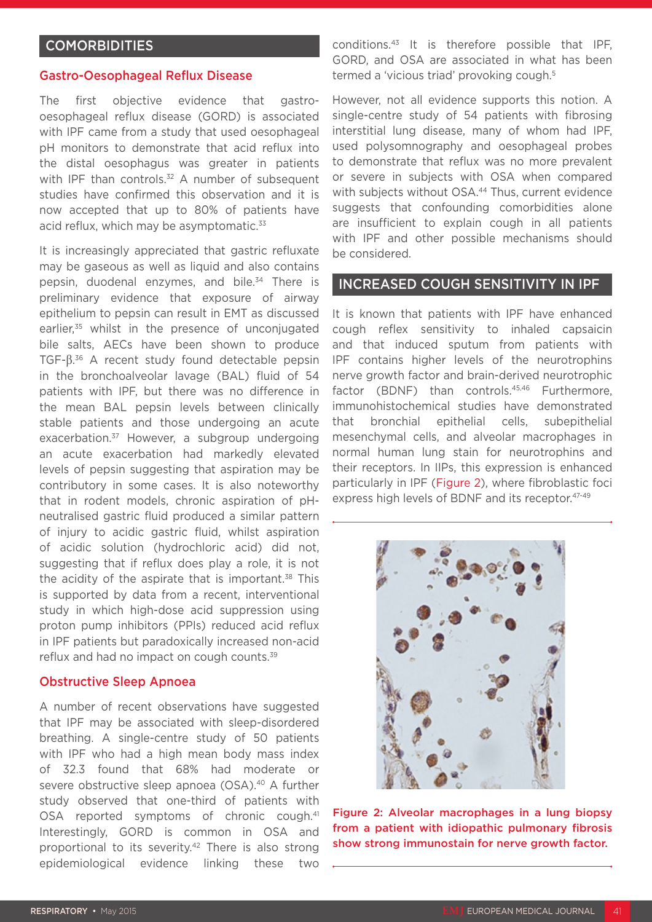### **COMORBIDITIES**

#### Gastro-Oesophageal Reflux Disease

The first objective evidence that gastrooesophageal reflux disease (GORD) is associated with IPF came from a study that used oesophageal pH monitors to demonstrate that acid reflux into the distal oesophagus was greater in patients with IPF than controls.<sup>32</sup> A number of subsequent studies have confirmed this observation and it is now accepted that up to 80% of patients have acid reflux, which may be asymptomatic.<sup>33</sup>

It is increasingly appreciated that gastric refluxate may be gaseous as well as liquid and also contains pepsin, duodenal enzymes, and bile.<sup>34</sup> There is preliminary evidence that exposure of airway epithelium to pepsin can result in EMT as discussed earlier,<sup>35</sup> whilst in the presence of unconjugated bile salts, AECs have been shown to produce TGF-β. 36 A recent study found detectable pepsin in the bronchoalveolar lavage (BAL) fluid of 54 patients with IPF, but there was no difference in the mean BAL pepsin levels between clinically stable patients and those undergoing an acute exacerbation.<sup>37</sup> However, a subgroup undergoing an acute exacerbation had markedly elevated levels of pepsin suggesting that aspiration may be contributory in some cases. It is also noteworthy that in rodent models, chronic aspiration of pHneutralised gastric fluid produced a similar pattern of injury to acidic gastric fluid, whilst aspiration of acidic solution (hydrochloric acid) did not, suggesting that if reflux does play a role, it is not the acidity of the aspirate that is important.<sup>38</sup> This is supported by data from a recent, interventional study in which high-dose acid suppression using proton pump inhibitors (PPIs) reduced acid reflux in IPF patients but paradoxically increased non-acid reflux and had no impact on cough counts.<sup>39</sup>

#### Obstructive Sleep Apnoea

A number of recent observations have suggested that IPF may be associated with sleep-disordered breathing. A single-centre study of 50 patients with IPF who had a high mean body mass index of 32.3 found that 68% had moderate or severe obstructive sleep apnoea (OSA).40 A further study observed that one-third of patients with OSA reported symptoms of chronic cough.41 Interestingly, GORD is common in OSA and proportional to its severity.42 There is also strong epidemiological evidence linking these two

conditions.43 It is therefore possible that IPF, GORD, and OSA are associated in what has been termed a 'vicious triad' provoking cough.5

However, not all evidence supports this notion. A single-centre study of 54 patients with fibrosing interstitial lung disease, many of whom had IPF, used polysomnography and oesophageal probes to demonstrate that reflux was no more prevalent or severe in subjects with OSA when compared with subjects without OSA.<sup>44</sup> Thus, current evidence suggests that confounding comorbidities alone are insufficient to explain cough in all patients with IPF and other possible mechanisms should be considered.

#### INCREASED COUGH SENSITIVITY IN IPF

It is known that patients with IPF have enhanced cough reflex sensitivity to inhaled capsaicin and that induced sputum from patients with IPF contains higher levels of the neurotrophins nerve growth factor and brain-derived neurotrophic factor (BDNF) than controls.<sup>45,46</sup> Furthermore, immunohistochemical studies have demonstrated that bronchial epithelial cells, subepithelial mesenchymal cells, and alveolar macrophages in normal human lung stain for neurotrophins and their receptors. In IIPs, this expression is enhanced particularly in IPF (Figure 2), where fibroblastic foci express high levels of BDNF and its receptor.<sup>47-49</sup>



Figure 2: Alveolar macrophages in a lung biopsy from a patient with idiopathic pulmonary fibrosis show strong immunostain for nerve growth factor.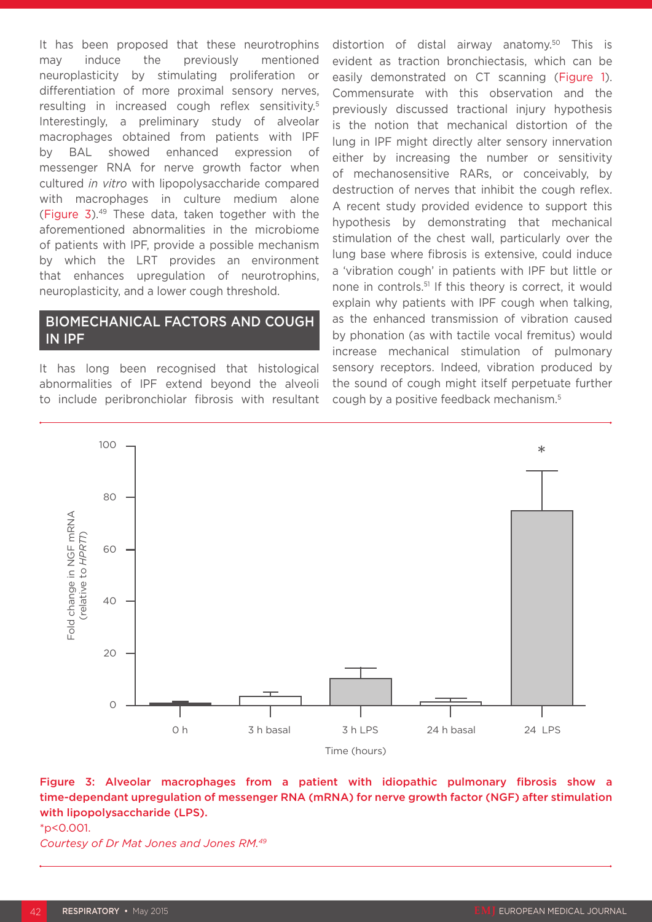It has been proposed that these neurotrophins may induce the previously mentioned neuroplasticity by stimulating proliferation or differentiation of more proximal sensory nerves, resulting in increased cough reflex sensitivity.5 Interestingly, a preliminary study of alveolar macrophages obtained from patients with IPF by BAL showed enhanced expression of messenger RNA for nerve growth factor when cultured *in vitro* with lipopolysaccharide compared with macrophages in culture medium alone (Figure 3).49 These data, taken together with the aforementioned abnormalities in the microbiome of patients with IPF, provide a possible mechanism by which the LRT provides an environment that enhances upregulation of neurotrophins, neuroplasticity, and a lower cough threshold.

# BIOMECHANICAL FACTORS AND COUGH IN IPF

It has long been recognised that histological abnormalities of IPF extend beyond the alveoli to include peribronchiolar fibrosis with resultant distortion of distal airway anatomy.<sup>50</sup> This is evident as traction bronchiectasis, which can be easily demonstrated on CT scanning (Figure 1). Commensurate with this observation and the previously discussed tractional injury hypothesis is the notion that mechanical distortion of the lung in IPF might directly alter sensory innervation either by increasing the number or sensitivity of mechanosensitive RARs, or conceivably, by destruction of nerves that inhibit the cough reflex. A recent study provided evidence to support this hypothesis by demonstrating that mechanical stimulation of the chest wall, particularly over the lung base where fibrosis is extensive, could induce a 'vibration cough' in patients with IPF but little or none in controls.51 If this theory is correct, it would explain why patients with IPF cough when talking, as the enhanced transmission of vibration caused by phonation (as with tactile vocal fremitus) would increase mechanical stimulation of pulmonary sensory receptors. Indeed, vibration produced by the sound of cough might itself perpetuate further cough by a positive feedback mechanism.5



#### Figure 3: Alveolar macrophages from a patient with idiopathic pulmonary fibrosis show a time-dependant upregulation of messenger RNA (mRNA) for nerve growth factor (NGF) after stimulation with lipopolysaccharide (LPS).

\*p<0.001.

*Courtesy of Dr Mat Jones and Jones RM.49*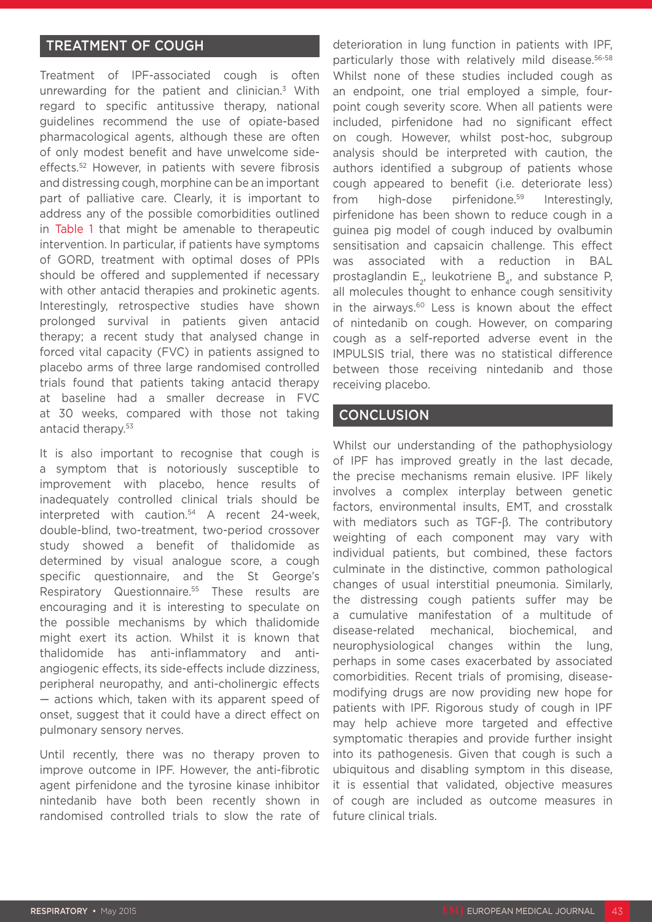# TREATMENT OF COUGH

Treatment of IPF-associated cough is often unrewarding for the patient and clinician.3 With regard to specific antitussive therapy, national guidelines recommend the use of opiate-based pharmacological agents, although these are often of only modest benefit and have unwelcome sideeffects.52 However, in patients with severe fibrosis and distressing cough, morphine can be an important part of palliative care. Clearly, it is important to address any of the possible comorbidities outlined in Table 1 that might be amenable to therapeutic intervention. In particular, if patients have symptoms of GORD, treatment with optimal doses of PPIs should be offered and supplemented if necessary with other antacid therapies and prokinetic agents. Interestingly, retrospective studies have shown prolonged survival in patients given antacid therapy; a recent study that analysed change in forced vital capacity (FVC) in patients assigned to placebo arms of three large randomised controlled trials found that patients taking antacid therapy at baseline had a smaller decrease in FVC at 30 weeks, compared with those not taking antacid therapy.53

It is also important to recognise that cough is a symptom that is notoriously susceptible to improvement with placebo, hence results of inadequately controlled clinical trials should be interpreted with caution.54 A recent 24-week, double-blind, two-treatment, two-period crossover study showed a benefit of thalidomide as determined by visual analogue score, a cough specific questionnaire, and the St George's Respiratory Questionnaire.<sup>55</sup> These results are encouraging and it is interesting to speculate on the possible mechanisms by which thalidomide might exert its action. Whilst it is known that thalidomide has anti-inflammatory and antiangiogenic effects, its side-effects include dizziness, peripheral neuropathy, and anti-cholinergic effects — actions which, taken with its apparent speed of onset, suggest that it could have a direct effect on pulmonary sensory nerves.

Until recently, there was no therapy proven to improve outcome in IPF. However, the anti-fibrotic agent pirfenidone and the tyrosine kinase inhibitor nintedanib have both been recently shown in randomised controlled trials to slow the rate of deterioration in lung function in patients with IPF, particularly those with relatively mild disease.56-58 Whilst none of these studies included cough as an endpoint, one trial employed a simple, fourpoint cough severity score. When all patients were included, pirfenidone had no significant effect on cough. However, whilst post-hoc, subgroup analysis should be interpreted with caution, the authors identified a subgroup of patients whose cough appeared to benefit (i.e. deteriorate less) from high-dose pirfenidone.<sup>59</sup> Interestingly, pirfenidone has been shown to reduce cough in a guinea pig model of cough induced by ovalbumin sensitisation and capsaicin challenge. This effect was associated with a reduction in BAL prostaglandin  $E_{2}$ , leukotriene  $B_{4}$ , and substance P, all molecules thought to enhance cough sensitivity in the airways.<sup>60</sup> Less is known about the effect of nintedanib on cough. However, on comparing cough as a self-reported adverse event in the IMPULSIS trial, there was no statistical difference between those receiving nintedanib and those receiving placebo.

#### **CONCLUSION**

Whilst our understanding of the pathophysiology of IPF has improved greatly in the last decade, the precise mechanisms remain elusive. IPF likely involves a complex interplay between genetic factors, environmental insults, EMT, and crosstalk with mediators such as TGF-β. The contributory weighting of each component may vary with individual patients, but combined, these factors culminate in the distinctive, common pathological changes of usual interstitial pneumonia. Similarly, the distressing cough patients suffer may be a cumulative manifestation of a multitude of disease-related mechanical, biochemical, and neurophysiological changes within the lung, perhaps in some cases exacerbated by associated comorbidities. Recent trials of promising, diseasemodifying drugs are now providing new hope for patients with IPF. Rigorous study of cough in IPF may help achieve more targeted and effective symptomatic therapies and provide further insight into its pathogenesis. Given that cough is such a ubiquitous and disabling symptom in this disease, it is essential that validated, objective measures of cough are included as outcome measures in future clinical trials.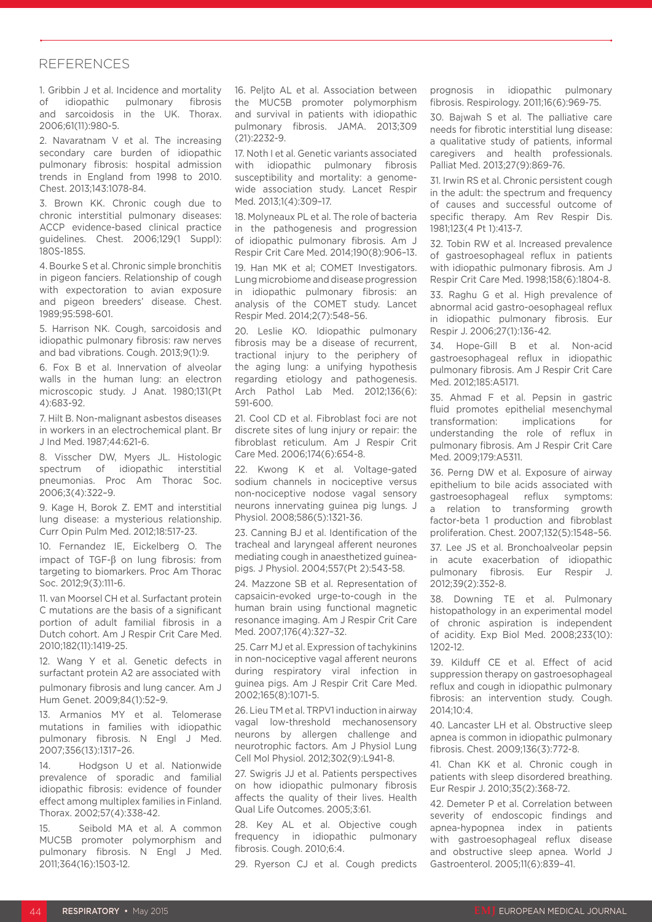#### REFERENCES

1. Gribbin J et al. Incidence and mortality of idiopathic pulmonary fibrosis and sarcoidosis in the UK. Thorax. 2006;61(11):980-5.

2. Navaratnam V et al. The increasing secondary care burden of idiopathic pulmonary fibrosis: hospital admission trends in England from 1998 to 2010. Chest. 2013;143:1078-84.

3. Brown KK. Chronic cough due to chronic interstitial pulmonary diseases: ACCP evidence-based clinical practice guidelines. Chest. 2006;129(1 Suppl): 180S-185S.

4. Bourke S et al. Chronic simple bronchitis in pigeon fanciers. Relationship of cough with expectoration to avian exposure and pigeon breeders' disease. Chest. 1989;95:598-601.

5. Harrison NK. Cough, sarcoidosis and idiopathic pulmonary fibrosis: raw nerves and bad vibrations. Cough. 2013;9(1):9.

6. Fox B et al. Innervation of alveolar walls in the human lung: an electron microscopic study. J Anat. 1980;131(Pt 4):683-92.

7. Hilt B. Non-malignant asbestos diseases in workers in an electrochemical plant. Br J Ind Med. 1987;44:621-6.

8. Visscher DW, Myers JL. Histologic spectrum of idiopathic interstitial pneumonias. Proc Am Thorac Soc. 2006;3(4):322–9.

9. Kage H, Borok Z. EMT and interstitial lung disease: a mysterious relationship. Curr Opin Pulm Med. 2012;18:517-23.

10. Fernandez IE, Eickelberg O. The impact of TGF-β on lung fibrosis: from targeting to biomarkers. Proc Am Thorac Soc. 2012;9(3):111-6.

11. van Moorsel CH et al. Surfactant protein C mutations are the basis of a significant portion of adult familial fibrosis in a Dutch cohort. Am J Respir Crit Care Med. 2010;182(11):1419-25.

12. Wang Y et al. Genetic defects in surfactant protein A2 are associated with pulmonary fibrosis and lung cancer. Am J Hum Genet. 2009;84(1):52–9.

13. Armanios MY et al. Telomerase mutations in families with idiopathic pulmonary fibrosis. N Engl J Med. 2007;356(13):1317–26.

14. Hodgson U et al. Nationwide prevalence of sporadic and familial idiopathic fibrosis: evidence of founder effect among multiplex families in Finland. Thorax. 2002;57(4):338-42.

15. Seibold MA et al. A common MUC5B promoter polymorphism and pulmonary fibrosis. N Engl J Med. 2011;364(16):1503-12.

16. Peljto AL et al. Association between the MUC5B promoter polymorphism and survival in patients with idiopathic pulmonary fibrosis. JAMA. 2013;309 (21):2232-9.

17. Noth I et al. Genetic variants associated with idiopathic pulmonary fibrosis susceptibility and mortality: a genomewide association study. Lancet Respir Med. 2013;1(4):309–17.

18. Molyneaux PL et al. The role of bacteria in the pathogenesis and progression of idiopathic pulmonary fibrosis. Am J Respir Crit Care Med. 2014;190(8):906–13.

19. Han MK et al; COMET Investigators. Lung microbiome and disease progression in idiopathic pulmonary fibrosis: an analysis of the COMET study. Lancet Respir Med. 2014;2(7):548–56.

20. Leslie KO. Idiopathic pulmonary fibrosis may be a disease of recurrent, tractional injury to the periphery of the aging lung: a unifying hypothesis regarding etiology and pathogenesis. Arch Pathol Lab Med. 2012;136(6): 591-600.

21. Cool CD et al. Fibroblast foci are not discrete sites of lung injury or repair: the fibroblast reticulum. Am J Respir Crit Care Med. 2006;174(6):654-8.

22. Kwong K et al. Voltage-gated sodium channels in nociceptive versus non-nociceptive nodose vagal sensory neurons innervating guinea pig lungs. J Physiol. 2008;586(5):1321-36.

23. Canning BJ et al. Identification of the tracheal and laryngeal afferent neurones mediating cough in anaesthetized guineapigs. J Physiol. 2004;557(Pt 2):543-58.

24. Mazzone SB et al. Representation of capsaicin-evoked urge-to-cough in the human brain using functional magnetic resonance imaging. Am J Respir Crit Care Med. 2007;176(4):327–32.

25. Carr MJ et al. Expression of tachykinins in non-nociceptive vagal afferent neurons during respiratory viral infection in guinea pigs. Am J Respir Crit Care Med. 2002;165(8):1071-5.

26. Lieu TM et al. TRPV1 induction in airway vagal low-threshold mechanosensory neurons by allergen challenge and neurotrophic factors. Am J Physiol Lung Cell Mol Physiol. 2012;302(9):L941-8.

27. Swigris JJ et al. Patients perspectives on how idiopathic pulmonary fibrosis affects the quality of their lives. Health Qual Life Outcomes. 2005;3:61.

28. Key AL et al. Objective cough frequency in idiopathic pulmonary fibrosis. Cough. 2010;6:4.

29. Ryerson CJ et al. Cough predicts

prognosis in idiopathic pulmonary fibrosis. Respirology. 2011;16(6):969-75.

30. Bajwah S et al. The palliative care needs for fibrotic interstitial lung disease: a qualitative study of patients, informal caregivers and health professionals. Palliat Med. 2013;27(9):869-76.

31. Irwin RS et al. Chronic persistent cough in the adult: the spectrum and frequency of causes and successful outcome of specific therapy. Am Rev Respir Dis. 1981;123(4 Pt 1):413-7.

32. Tobin RW et al. Increased prevalence of gastroesophageal reflux in patients with idiopathic pulmonary fibrosis. Am J Respir Crit Care Med. 1998;158(6):1804-8.

33. Raghu G et al. High prevalence of abnormal acid gastro-oesophageal reflux in idiopathic pulmonary fibrosis. Eur Respir J. 2006;27(1):136-42.

34. Hope-Gill B et al. Non-acid gastroesophageal reflux in idiopathic pulmonary fibrosis. Am J Respir Crit Care Med. 2012;185:A5171.

35. Ahmad F et al. Pepsin in gastric fluid promotes epithelial mesenchymal transformation: implications for understanding the role of reflux in pulmonary fibrosis. Am J Respir Crit Care Med. 2009;179:A5311.

36. Perng DW et al. Exposure of airway epithelium to bile acids associated with gastroesophageal reflux symptoms: a relation to transforming growth factor-beta 1 production and fibroblast proliferation. Chest. 2007;132(5):1548–56.

37. Lee JS et al. Bronchoalveolar pepsin in acute exacerbation of idiopathic pulmonary fibrosis. Eur Respir J. 2012;39(2):352-8.

38. Downing TE et al. Pulmonary histopathology in an experimental model of chronic aspiration is independent of acidity. Exp Biol Med. 2008;233(10): 1202-12.

39. Kilduff CE et al. Effect of acid suppression therapy on gastroesophageal reflux and cough in idiopathic pulmonary fibrosis: an intervention study. Cough.  $2014:10:4$ 

40. Lancaster LH et al. Obstructive sleep apnea is common in idiopathic pulmonary fibrosis. Chest. 2009;136(3):772-8.

41. Chan KK et al. Chronic cough in patients with sleep disordered breathing. Eur Respir J. 2010;35(2):368-72.

42. Demeter P et al. Correlation between severity of endoscopic findings and apnea-hypopnea index in patients with gastroesophageal reflux disease and obstructive sleep apnea. World J Gastroenterol. 2005;11(6):839–41.